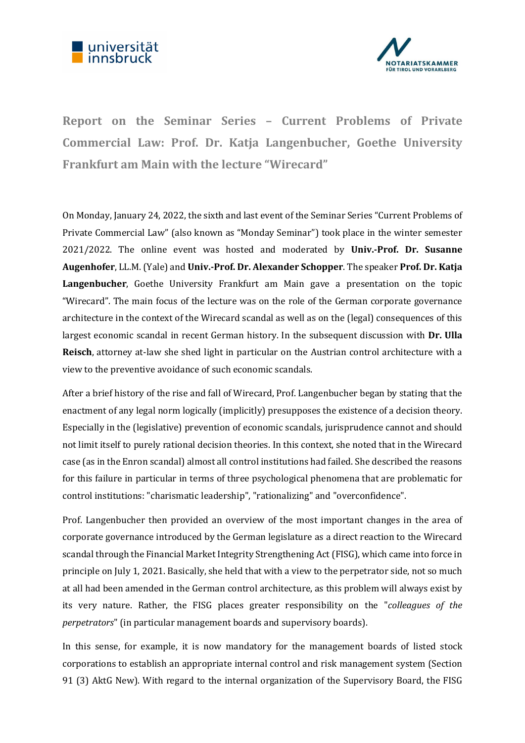



Report on the Seminar Series – Current Problems of Private Commercial Law: Prof. Dr. Katja Langenbucher, Goethe University Frankfurt am Main with the lecture "Wirecard"

On Monday, January 24, 2022, the sixth and last event of the Seminar Series "Current Problems of Private Commercial Law" (also known as "Monday Seminar") took place in the winter semester 2021/2022. The online event was hosted and moderated by Univ.-Prof. Dr. Susanne Augenhofer, LL.M. (Yale) and Univ.-Prof. Dr. Alexander Schopper. The speaker Prof. Dr. Katja Langenbucher, Goethe University Frankfurt am Main gave a presentation on the topic "Wirecard". The main focus of the lecture was on the role of the German corporate governance architecture in the context of the Wirecard scandal as well as on the (legal) consequences of this largest economic scandal in recent German history. In the subsequent discussion with Dr. Ulla Reisch, attorney at-law she shed light in particular on the Austrian control architecture with a view to the preventive avoidance of such economic scandals.

After a brief history of the rise and fall of Wirecard, Prof. Langenbucher began by stating that the enactment of any legal norm logically (implicitly) presupposes the existence of a decision theory. Especially in the (legislative) prevention of economic scandals, jurisprudence cannot and should not limit itself to purely rational decision theories. In this context, she noted that in the Wirecard case (as in the Enron scandal) almost all control institutions had failed. She described the reasons for this failure in particular in terms of three psychological phenomena that are problematic for control institutions: "charismatic leadership", "rationalizing" and "overconfidence".

Prof. Langenbucher then provided an overview of the most important changes in the area of corporate governance introduced by the German legislature as a direct reaction to the Wirecard scandal through the Financial Market Integrity Strengthening Act (FISG), which came into force in principle on July 1, 2021. Basically, she held that with a view to the perpetrator side, not so much at all had been amended in the German control architecture, as this problem will always exist by its very nature. Rather, the FISG places greater responsibility on the "colleagues of the perpetrators" (in particular management boards and supervisory boards).

In this sense, for example, it is now mandatory for the management boards of listed stock corporations to establish an appropriate internal control and risk management system (Section 91 (3) AktG New). With regard to the internal organization of the Supervisory Board, the FISG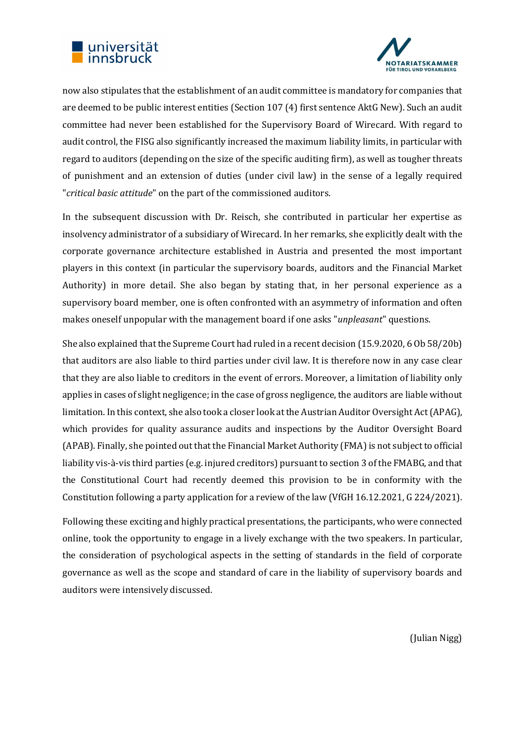



now also stipulates that the establishment of an audit committee is mandatory for companies that are deemed to be public interest entities (Section 107 (4) first sentence AktG New). Such an audit committee had never been established for the Supervisory Board of Wirecard. With regard to audit control, the FISG also significantly increased the maximum liability limits, in particular with regard to auditors (depending on the size of the specific auditing firm), as well as tougher threats of punishment and an extension of duties (under civil law) in the sense of a legally required "critical basic attitude" on the part of the commissioned auditors.

In the subsequent discussion with Dr. Reisch, she contributed in particular her expertise as insolvency administrator of a subsidiary of Wirecard. In her remarks, she explicitly dealt with the corporate governance architecture established in Austria and presented the most important players in this context (in particular the supervisory boards, auditors and the Financial Market Authority) in more detail. She also began by stating that, in her personal experience as a supervisory board member, one is often confronted with an asymmetry of information and often makes oneself unpopular with the management board if one asks "unpleasant" questions.

She also explained that the Supreme Court had ruled in a recent decision (15.9.2020, 6 Ob 58/20b) that auditors are also liable to third parties under civil law. It is therefore now in any case clear that they are also liable to creditors in the event of errors. Moreover, a limitation of liability only applies in cases of slight negligence; in the case of gross negligence, the auditors are liable without limitation. In this context, she also took a closer look at the Austrian Auditor Oversight Act (APAG), which provides for quality assurance audits and inspections by the Auditor Oversight Board (APAB). Finally, she pointed out that the Financial Market Authority (FMA) is not subject to official liability vis-à-vis third parties (e.g. injured creditors) pursuant to section 3 of the FMABG, and that the Constitutional Court had recently deemed this provision to be in conformity with the Constitution following a party application for a review of the law (VfGH 16.12.2021, G 224/2021).

Following these exciting and highly practical presentations, the participants, who were connected online, took the opportunity to engage in a lively exchange with the two speakers. In particular, the consideration of psychological aspects in the setting of standards in the field of corporate governance as well as the scope and standard of care in the liability of supervisory boards and auditors were intensively discussed.

(Julian Nigg)